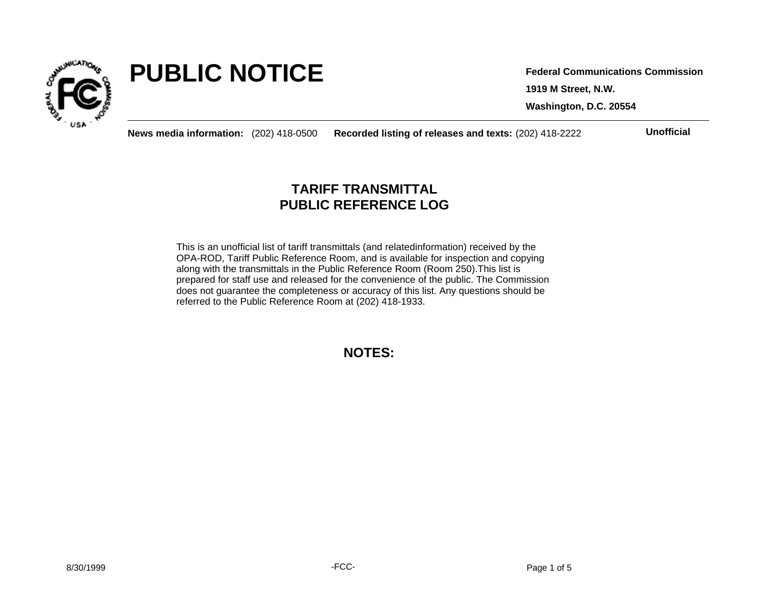

# **PUBLIC NOTICE**

**1919 M Street, N.W. Washington, D.C. 20554 Federal Communications Commission**

**News media information:** (202) 418-0500 **Recorded listing of releases and texts:** (202) 418-2222 **Unofficial**

# **TARIFF TRANSMITTAL PUBLIC REFERENCE LOG**

This is an unofficial list of tariff transmittals (and relatedinformation) received by the OPA-ROD, Tariff Public Reference Room, and is available for inspection and copying along with the transmittals in the Public Reference Room (Room 250).This list is prepared for staff use and released for the convenience of the public. The Commission does not guarantee the completeness or accuracy of this list. Any questions should be referred to the Public Reference Room at (202) 418-1933.

**NOTES:**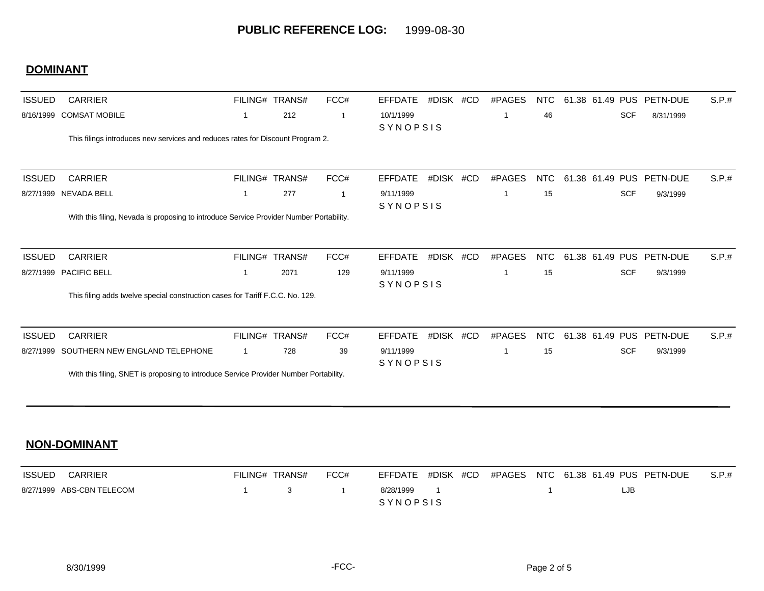## **DOMINANT**

| <b>ISSUED</b> | <b>CARRIER</b>                                                                          |             | FILING# TRANS# | FCC#         | <b>EFFDATE</b>        | #DISK #CD | #PAGES      | <b>NTC</b> |                 | 61.38 61.49 PUS PETN-DUE | S.P.# |
|---------------|-----------------------------------------------------------------------------------------|-------------|----------------|--------------|-----------------------|-----------|-------------|------------|-----------------|--------------------------|-------|
| 8/16/1999     | <b>COMSAT MOBILE</b>                                                                    | 1           | 212            | $\mathbf 1$  | 10/1/1999<br>SYNOPSIS |           |             | 46         | <b>SCF</b>      | 8/31/1999                |       |
|               | This filings introduces new services and reduces rates for Discount Program 2.          |             |                |              |                       |           |             |            |                 |                          |       |
| <b>ISSUED</b> | <b>CARRIER</b>                                                                          |             | FILING# TRANS# | FCC#         | <b>EFFDATE</b>        | #DISK #CD | #PAGES      | <b>NTC</b> | 61.38 61.49 PUS | PETN-DUE                 | S.P.# |
|               | 8/27/1999 NEVADA BELL                                                                   | 1           | 277            | $\mathbf{1}$ | 9/11/1999<br>SYNOPSIS |           | $\mathbf 1$ | 15         | <b>SCF</b>      | 9/3/1999                 |       |
|               | With this filing, Nevada is proposing to introduce Service Provider Number Portability. |             |                |              |                       |           |             |            |                 |                          |       |
| <b>ISSUED</b> | <b>CARRIER</b>                                                                          | FILING#     | TRANS#         | FCC#         | <b>EFFDATE</b>        | #DISK #CD | #PAGES      | <b>NTC</b> | 61.38 61.49 PUS | PETN-DUE                 | S.P.# |
| 8/27/1999     | PACIFIC BELL                                                                            | 1           | 2071           | 129          | 9/11/1999<br>SYNOPSIS |           | -1          | 15         | <b>SCF</b>      | 9/3/1999                 |       |
|               | This filing adds twelve special construction cases for Tariff F.C.C. No. 129.           |             |                |              |                       |           |             |            |                 |                          |       |
| <b>ISSUED</b> | CARRIER                                                                                 |             | FILING# TRANS# | FCC#         | <b>EFFDATE</b>        | #DISK #CD | #PAGES      | NTC        | 61.38 61.49 PUS | PETN-DUE                 | S.P.# |
| 8/27/1999     | SOUTHERN NEW ENGLAND TELEPHONE                                                          | $\mathbf 1$ | 728            | 39           | 9/11/1999<br>SYNOPSIS |           | -1          | 15         | <b>SCF</b>      | 9/3/1999                 |       |
|               | With this filing, SNET is proposing to introduce Service Provider Number Portability.   |             |                |              |                       |           |             |            |                 |                          |       |
|               |                                                                                         |             |                |              |                       |           |             |            |                 |                          |       |

| ISSUED | CARRIER                   | FILING# TRANS# |                             | FCC# |                 |  |  | EFFDATE #DISK #CD #PAGES NTC 61.38 61.49 PUS PETN-DUE | S.P.t |
|--------|---------------------------|----------------|-----------------------------|------|-----------------|--|--|-------------------------------------------------------|-------|
|        | 8/27/1999 ABS-CBN TELECOM |                | $\frac{1}{3}$ $\frac{1}{3}$ |      | 8/28/1999       |  |  | LJB                                                   |       |
|        |                           |                |                             |      | <b>SYNOPSIS</b> |  |  |                                                       |       |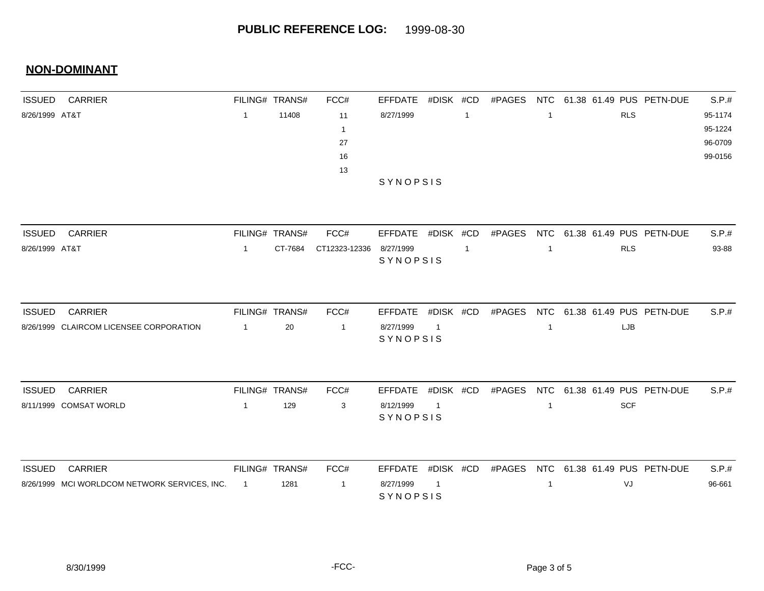| <b>ISSUED</b>  | <b>CARRIER</b>                                |                | FILING# TRANS# | FCC#          | <b>EFFDATE</b>        | #DISK #CD      |                | #PAGES | <b>NTC</b>                   |  |  |            | 61.38 61.49 PUS PETN-DUE | S.P.#   |  |
|----------------|-----------------------------------------------|----------------|----------------|---------------|-----------------------|----------------|----------------|--------|------------------------------|--|--|------------|--------------------------|---------|--|
| 8/26/1999 AT&T |                                               | $\overline{1}$ | 11408          | 11            | 8/27/1999             |                | $\overline{1}$ |        | -1                           |  |  | <b>RLS</b> |                          | 95-1174 |  |
|                |                                               |                |                | -1            |                       |                |                |        |                              |  |  |            |                          | 95-1224 |  |
|                |                                               |                |                | 27            |                       |                |                |        |                              |  |  |            |                          | 96-0709 |  |
|                |                                               |                |                | 16            |                       |                |                |        |                              |  |  |            |                          | 99-0156 |  |
|                |                                               |                |                | 13            |                       |                |                |        |                              |  |  |            |                          |         |  |
|                |                                               |                |                |               | SYNOPSIS              |                |                |        |                              |  |  |            |                          |         |  |
| <b>ISSUED</b>  | <b>CARRIER</b>                                |                | FILING# TRANS# | FCC#          | EFFDATE               | #DISK #CD      |                | #PAGES | <b>NTC</b>                   |  |  |            | 61.38 61.49 PUS PETN-DUE | S.P.#   |  |
|                |                                               |                |                |               |                       |                |                |        |                              |  |  |            |                          | 93-88   |  |
| 8/26/1999 AT&T |                                               | $\overline{1}$ | CT-7684        | CT12323-12336 | 8/27/1999<br>SYNOPSIS |                | $\overline{1}$ |        | <b>RLS</b><br>$\overline{1}$ |  |  |            |                          |         |  |
|                |                                               |                |                |               |                       |                |                |        |                              |  |  |            |                          |         |  |
| <b>ISSUED</b>  | <b>CARRIER</b>                                |                | FILING# TRANS# | FCC#          | <b>EFFDATE</b>        | #DISK #CD      |                | #PAGES | <b>NTC</b>                   |  |  |            | 61.38 61.49 PUS PETN-DUE | S.P.#   |  |
|                | 8/26/1999 CLAIRCOM LICENSEE CORPORATION       | $\mathbf{1}$   | 20             | $\mathbf{1}$  | 8/27/1999             | $\overline{1}$ |                |        | $\overline{1}$               |  |  | LJB        |                          |         |  |
|                |                                               |                |                |               | SYNOPSIS              |                |                |        |                              |  |  |            |                          |         |  |
|                |                                               |                |                |               |                       |                |                |        |                              |  |  |            |                          |         |  |
| <b>ISSUED</b>  | <b>CARRIER</b>                                |                | FILING# TRANS# | FCC#          | <b>EFFDATE</b>        | #DISK #CD      |                | #PAGES | <b>NTC</b>                   |  |  |            | 61.38 61.49 PUS PETN-DUE | S.P.#   |  |
|                | 8/11/1999 COMSAT WORLD                        | $\overline{1}$ | 129            | 3             | 8/12/1999<br>SYNOPSIS | $\overline{1}$ |                |        | $\overline{1}$               |  |  | <b>SCF</b> |                          |         |  |
|                |                                               |                |                |               |                       |                |                |        |                              |  |  |            |                          |         |  |
| <b>ISSUED</b>  | <b>CARRIER</b>                                |                | FILING# TRANS# | FCC#          | <b>EFFDATE</b>        | #DISK #CD      |                | #PAGES | <b>NTC</b>                   |  |  |            | 61.38 61.49 PUS PETN-DUE | S.P.#   |  |
|                | 8/26/1999 MCI WORLDCOM NETWORK SERVICES, INC. | $\overline{1}$ | 1281           | $\mathbf{1}$  | 8/27/1999<br>SYNOPSIS | -1             |                |        | $\mathbf{1}$                 |  |  | VJ         |                          | 96-661  |  |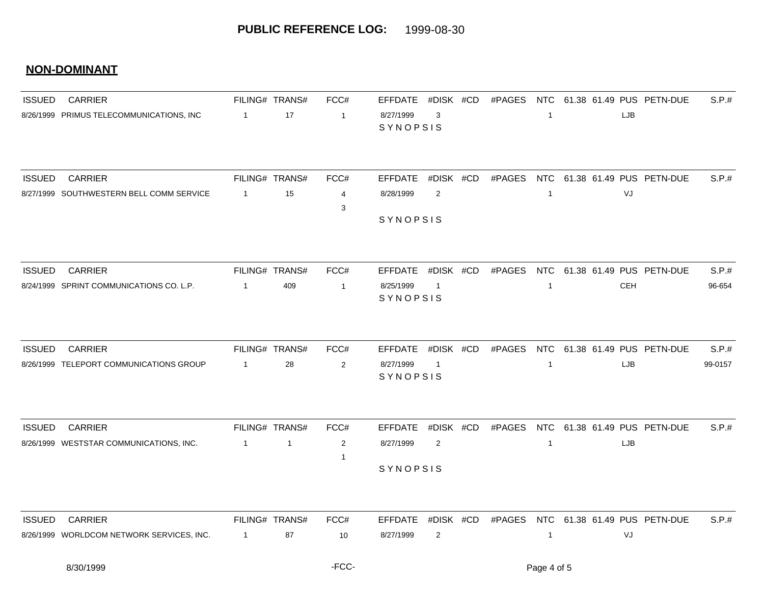| <b>ISSUED</b> | <b>CARRIER</b>                            |                  | FILING# TRANS# | FCC#           | <b>EFFDATE</b>        | #DISK #CD      | #PAGES |                         |     | NTC 61.38 61.49 PUS PETN-DUE        | S.P.#   |
|---------------|-------------------------------------------|------------------|----------------|----------------|-----------------------|----------------|--------|-------------------------|-----|-------------------------------------|---------|
|               | 8/26/1999 PRIMUS TELECOMMUNICATIONS, INC  | $\overline{1}$   | 17             | $\overline{1}$ | 8/27/1999<br>SYNOPSIS | 3              |        | $\overline{1}$          | LJB |                                     |         |
|               |                                           |                  |                |                |                       |                |        |                         |     |                                     |         |
| <b>ISSUED</b> | <b>CARRIER</b>                            |                  | FILING# TRANS# | FCC#           | <b>EFFDATE</b>        | #DISK #CD      | #PAGES |                         |     | NTC 61.38 61.49 PUS PETN-DUE        | S.P.#   |
|               | 8/27/1999 SOUTHWESTERN BELL COMM SERVICE  | $\overline{1}$   | 15             | $\overline{4}$ | 8/28/1999             | 2              |        | $\overline{\mathbf{1}}$ | VJ  |                                     |         |
|               |                                           |                  |                | 3              | SYNOPSIS              |                |        |                         |     |                                     |         |
|               |                                           |                  |                |                |                       |                |        |                         |     |                                     |         |
| <b>ISSUED</b> | <b>CARRIER</b>                            |                  | FILING# TRANS# | FCC#           | EFFDATE               | #DISK #CD      | #PAGES |                         |     | NTC 61.38 61.49 PUS PETN-DUE        | S.P.#   |
|               | 8/24/1999 SPRINT COMMUNICATIONS CO. L.P.  | $\overline{1}$   | 409            | $\overline{1}$ | 8/25/1999<br>SYNOPSIS | $\overline{1}$ |        | $\mathbf{1}$            | CEH |                                     | 96-654  |
|               |                                           |                  |                |                |                       |                |        |                         |     |                                     |         |
| <b>ISSUED</b> | <b>CARRIER</b>                            |                  | FILING# TRANS# | FCC#           | <b>EFFDATE</b>        | #DISK #CD      | #PAGES |                         |     | NTC 61.38 61.49 PUS PETN-DUE        | S.P.#   |
|               | 8/26/1999 TELEPORT COMMUNICATIONS GROUP   | $\overline{1}$   | 28             | $\overline{2}$ | 8/27/1999             | $\overline{1}$ |        | $\overline{1}$          | LJB |                                     | 99-0157 |
|               |                                           |                  |                |                | SYNOPSIS              |                |        |                         |     |                                     |         |
| <b>ISSUED</b> | <b>CARRIER</b>                            |                  | FILING# TRANS# | FCC#           | <b>EFFDATE</b>        | #DISK #CD      | #PAGES |                         |     | NTC 61.38 61.49 PUS PETN-DUE        | S.P.#   |
|               | 8/26/1999 WESTSTAR COMMUNICATIONS, INC.   | $\overline{1}$   | $\overline{1}$ | 2              | 8/27/1999             | 2              |        | $\overline{1}$          | LJB |                                     |         |
|               |                                           |                  |                | -1             |                       |                |        |                         |     |                                     |         |
|               |                                           |                  |                |                | SYNOPSIS              |                |        |                         |     |                                     |         |
| <b>ISSUED</b> | <b>CARRIER</b>                            |                  | FILING# TRANS# | FCC#           | EFFDATE               | #DISK #CD      |        |                         |     | #PAGES NTC 61.38 61.49 PUS PETN-DUE | S.P.#   |
|               | 8/26/1999 WORLDCOM NETWORK SERVICES, INC. | $\blacksquare$ 1 | 87             | 10             | 8/27/1999             | 2              |        | $\mathbf{1}$            | VJ  |                                     |         |